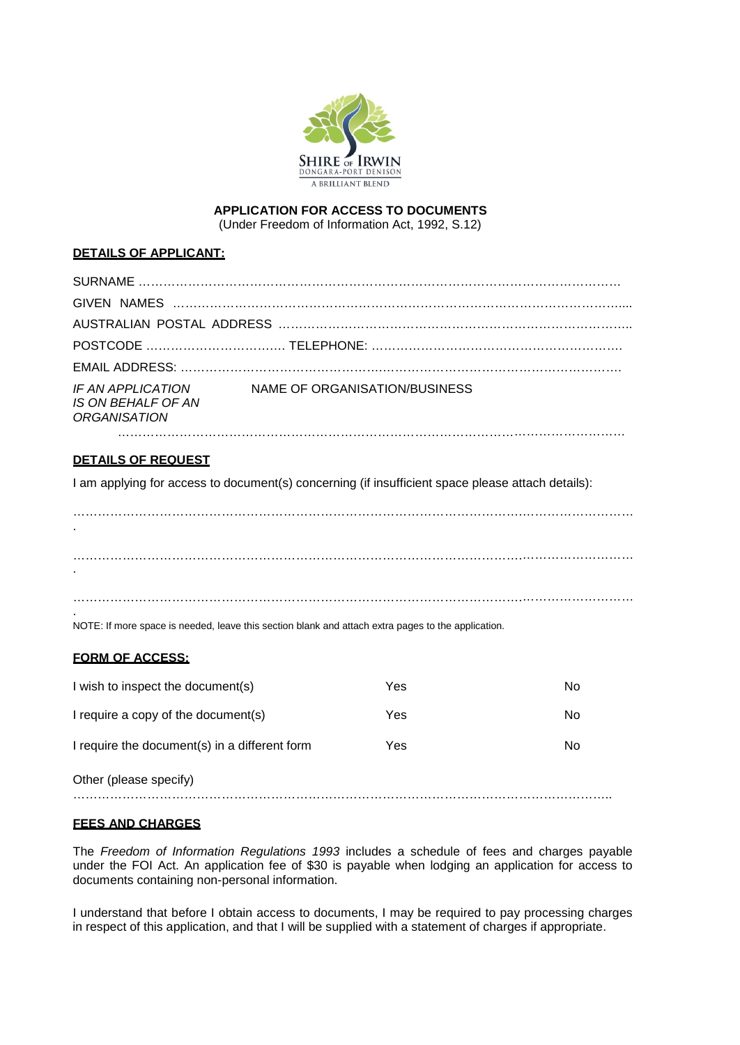

# **APPLICATION FOR ACCESS TO DOCUMENTS**

(Under Freedom of Information Act, 1992, S.12)

#### **DETAILS OF APPLICANT:**

| IF AN APPLICATION<br>IS ON BEHALF OF AN<br>ORGANISATION | NAME OF ORGANISATION/BUSINESS |  |  |
|---------------------------------------------------------|-------------------------------|--|--|
|                                                         |                               |  |  |

## **DETAILS OF REQUEST**

I am applying for access to document(s) concerning (if insufficient space please attach details):

……………………………………………………………………………………………….……………………… . ……………………………………………………………………………………………….……………………… . ……………………………………………………………………………………………….……………………… .

NOTE: If more space is needed, leave this section blank and attach extra pages to the application.

## **FORM OF ACCESS:**

| I wish to inspect the document(s)             | Yes | No |
|-----------------------------------------------|-----|----|
| I require a copy of the document(s)           | Yes | No |
| I require the document(s) in a different form | Yes | No |
| Other (please specify)                        |     |    |

## **FEES AND CHARGES**

The *Freedom of Information Regulations 1993* includes a schedule of fees and charges payable under the FOI Act. An application fee of \$30 is payable when lodging an application for access to documents containing non-personal information.

I understand that before I obtain access to documents, I may be required to pay processing charges in respect of this application, and that I will be supplied with a statement of charges if appropriate.